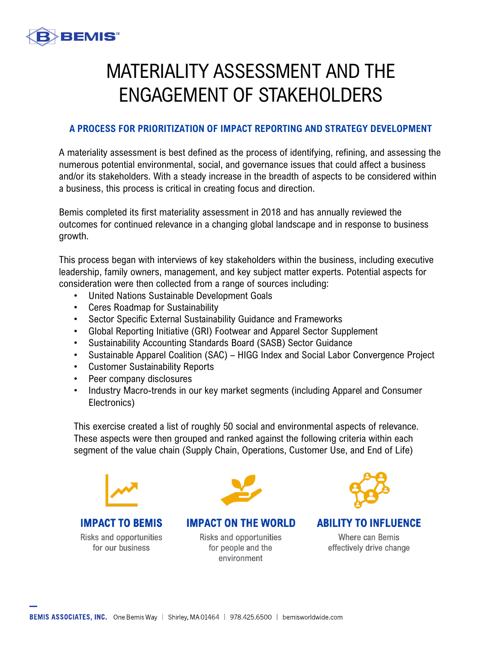

## MATERIALITY ASSESSMENT AND THE ENGAGEMENT OF STAKEHOLDERS

## **A PROCESS FOR PRIORITIZATION OF IMPACT REPORTING AND STRATEGY DEVELOPMENT**

A materiality assessment is best defined as the process of identifying, refining, and assessing the numerous potential environmental, social, and governance issues that could affect a business and/or its stakeholders. With a steady increase in the breadth of aspects to be considered within a business, this process is critical in creating focus and direction.

Bemis completed its first materiality assessment in 2018 and has annually reviewed the outcomes for continued relevance in a changing global landscape and in response to business growth.

This process began with interviews of key stakeholders within the business, including executive leadership, family owners, management, and key subject matter experts. Potential aspects for consideration were then collected from a range of sources including:

- United Nations Sustainable Development Goals
- Ceres Roadmap for Sustainability
- Sector Specific External Sustainability Guidance and Frameworks
- Global Reporting Initiative (GRI) Footwear and Apparel Sector Supplement
- Sustainability Accounting Standards Board (SASB) Sector Guidance
- Sustainable Apparel Coalition (SAC) HIGG Index and Social Labor Convergence Project
- Customer Sustainability Reports
- Peer company disclosures
- Industry Macro-trends in our key market segments (including Apparel and Consumer Electronics)

This exercise created a list of roughly 50 social and environmental aspects of relevance. These aspects were then grouped and ranked against the following criteria within each segment of the value chain (Supply Chain, Operations, Customer Use, and End of Life)



**IMPACT TO BEMIS** Risks and opportunities for our business



**IMPACT ON THE WORLD** Risks and opportunities

for people and the

environment



**ABILITY TO INFLUENCE** 

Where can Bemis effectively drive change